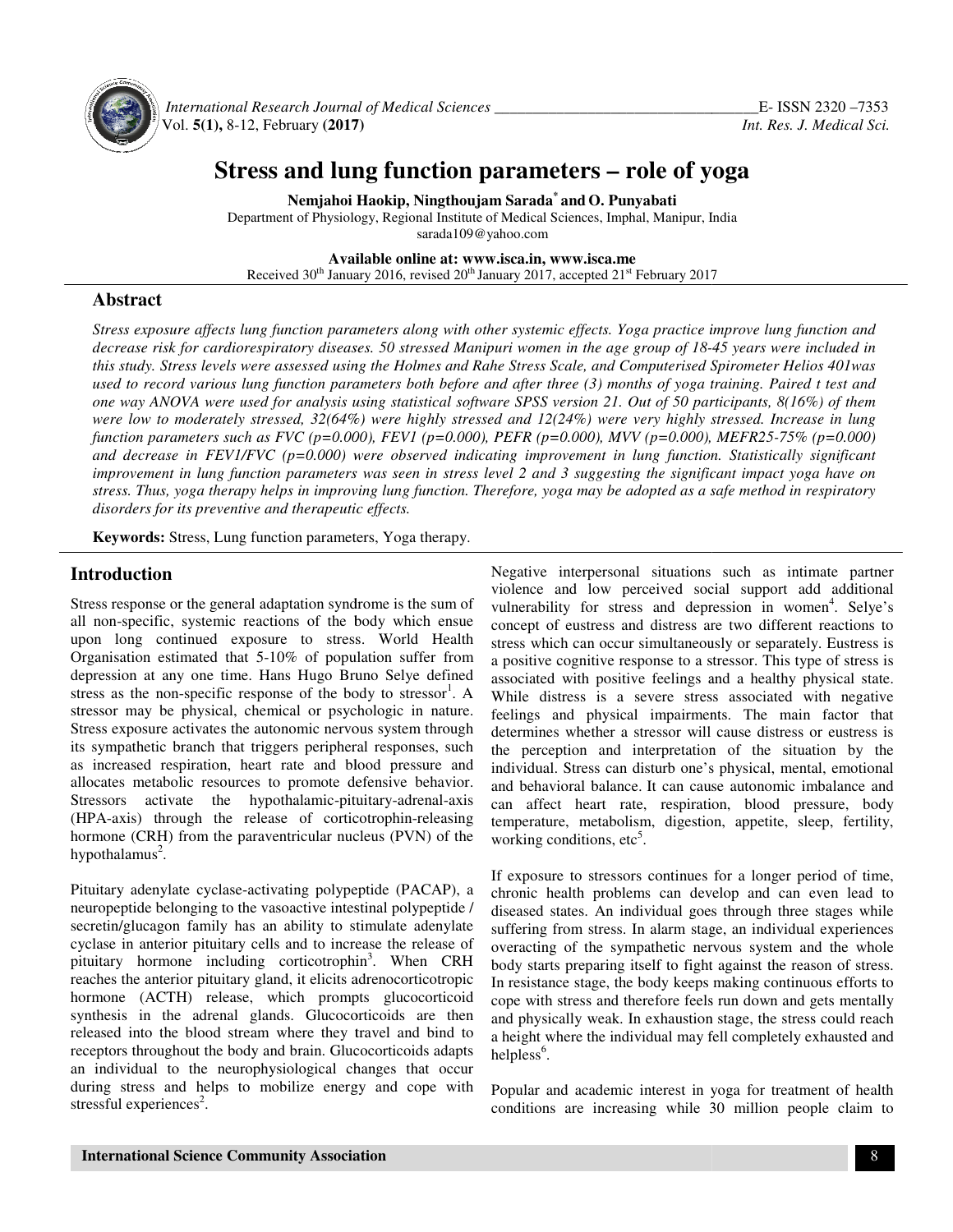

*International Research Journal of Medical Sciences \_\_\_\_\_\_\_\_\_\_\_\_\_\_\_\_\_\_\_\_\_\_\_\_\_\_\_\_\_* Vol. **5(1),** 8-12, February **(2017 7)**

# **Stress and lung function parameters – role of yoga**

**Nemjahoi Haokip, Ningthoujam Sarada \* and O. Punyabati**  Department of Physiology, Regional Institute of Medical Sciences, Imphal, Manipur, India sarada109@yahoo.com

**Available online at: www.isca.in, www.isca.me** 

Received 30<sup>th</sup> January 2016, revised 20<sup>th</sup> January 2017, accepted 21<sup>st</sup> February 2017

## **Abstract**

*Stress exposure affects lung function parameters along with other systemic effects. Yoga practice improve lung function and*  Stress exposure affects lung function parameters along with other systemic effects. Yoga practice improve lung function and<br>decrease risk for cardiorespiratory diseases. 50 stressed Manipuri women in the age group of 18-45 *this study. Stress levels were assessed using the Holmes and Rahe Stress Scale, and Computerised Spirometer Helios 401was*  this study. Stress levels were assessed using the Holmes and Rahe Stress Scale, and Computerised Spirometer Helios 401was<br>used to record various lung function parameters both before and after three (3) months of yoga train *one way ANOVA were used for analysis using statistical software SPSS version 21. Out of 50 participants, 8(16%) of them were low to moderately stressed, 32(64%) were highly stressed and 12(24%) were very highly stressed. Increase in lung*  one way ANOVA were used for analysis using statistical software SPSS version 21. Out of 50 participants, 8(16%) of them<br>were low to moderately stressed, 32(64%) were highly stressed and 12(24%) were very highly stressed. I *and decrease in FEV1/FVC (p=0.000) were observed indicating improvement in lung function. Statistically significant*  and decrease in FEV1/FVC (p=0.000) were observed indicating improvement in lung function. Statistically significant<br>improvement in lung function parameters was seen in stress level 2 and 3 suggesting the significant impact *stress. Thus, yoga therapy helps in improving lung function. Therefore, yoga may be adopted as a safe method in respiratory helps yoga disorders for its preventive and therapeutic effects.*

Keywords: Stress, Lung function parameters, Yoga therapy.

## **Introduction**

Stress response or the general adaptation syndrome is the sum of all non-specific, systemic reactions of the body which ensue upon long continued exposure to stress. World Health Organisation estimated that 5-10% of population suffer from depression at any one time. Hans Hugo Bruno Selye defined stress as the non-specific response of the body to stressor . A stressor may be physical, chemical or psychologic in nature.<br>Stress exposure activates the autonomic nervous system through<br>its sympathetic branch that triggers peripheral responses, such<br>as increased respiration, heart ra Stress exposure activates the autonomic nervous system through its sympathetic branch that triggers peripheral responses, such as increased respiration, heart rate and blood pressure and allocates metabolic resources to promote defensive behavior. Stressors activate the hypothalamic-pituitary-adrenal-axis (HPA-axis) through the release of corticotrophin-releasing hormone (CRH) from the paraventricular nucleus (PVN) of the hypothalamus<sup>2</sup>. specific, systemic reactions of the body which en<br>ong continued exposure to stress. World He:<br>attion estimated that 5-10% of population suffer fr<br>on at any one time. Hans Hugo Bruno Selye defi:<br>i the non-specific response

Pituitary adenylate cyclase-activating polypeptide (PACAP), a neuropeptide belonging to the vasoactive intestinal polypeptide secretin/glucagon family has an ability to stimulate adenylate cyclase in anterior pituitary cells and to increase the release of pituitary hormone including corticotrophin<sup>3</sup>. When CRH reaches the anterior pituitary gland, it elicits adrenocorticotropic hormone (ACTH) release, which prompts glucocorticoid synthesis in the adrenal glands. Glucocorticoids are then released into the blood stream where they travel and bind to receptors throughout the body and brain. Glucocorticoids adapts an individual to the neurophysiological changes that occur during stress and helps to mobilize energy and cope with stressful experiences<sup>2</sup>. araventricular nucleus (PVN) of the<br>activating polypeptide (PACAP), a<br>le vasoactive intestinal polypeptide /

**Introduction**<br>
Yoigheve intergenomal situation syndrome is the sum of vulnerability for stress and depression in women'. Selves in Glucocorticoids and the synthemality for stress in depression in women'. Selves in Specifi violence and low perceived social support add additional vulnerability for stress and depression in women . Selye's concept of eustress and distress are two different reactions to stress which can occur simultaneously or separately. Eustress is a positive cognitive response to a stressor. This type of stress is associated with positive feelings and a healthy physical state. While distress is a severe stress associated with negative feelings and physical impairments. The main factor that determines whether a stressor will cause distress or eustress is the perception and interpretation of the situation by the individual. Stress can disturb one's physical, mental, emotional and behavioral balance. It can cause autonomic imbalance and can affect heart rate, respiration, blood pressure, b working conditions, etc<sup>5</sup>. situations such as intimate<br>eived social support add<br>and depression in women<sup>4</sup> I distress are two different reactions to<br>simultaneously or separately. Eustress is<br>ponse to a stressor. This type of stress is associated with positive feelings and a healthy physical state.<br>While distress is a severe stress associated with negative<br>feelings and physical impairments. The main factor that<br>determines whether a stressor will cause di nd interpretation of the situation by the<br>can disturb one's physical, mental, emotional<br>lance. It can cause autonomic imbalance and<br>trate, respiration, blood pressure, body

temperature, metabolism, digestion, appetite, sleep, fertility, working conditions, etc<sup>5</sup>.<br>If exposure to stressors continues for a longer period of time, chronic health problems can develop and can even lead to diseased If exposure to stressors continues for a longer period of time, chronic health problems can develop and can even lead to diseased states. An individual goes through three stages while suffering from stress. In alarm stage, an individual experiences overacting of the sympathetic nervous system and the whole body starts preparing itself to fight against the reason of stress. suffering from stress. In alarm stage, an individual experiences<br>overacting of the sympathetic nervous system and the whole<br>body starts preparing itself to fight against the reason of stress.<br>In resistance stage, the body cope with stress and therefore feels run down and gets mentally and physically weak. In exhaustion stage, the stress could reach a height where the individual may fell completely exhausted and helpless $<sup>6</sup>$ .</sup> cope with stress and therefore feels run down and gets ment<br>and physically weak. In exhaustion stage, the stress could re<br>a height where the individual may fell completely exhausted<br>helpless<sup>6</sup>.<br>Popular and academic intere

Popular and academic interest in yoga for treatment of health conditions are increasing while 30 million people claim to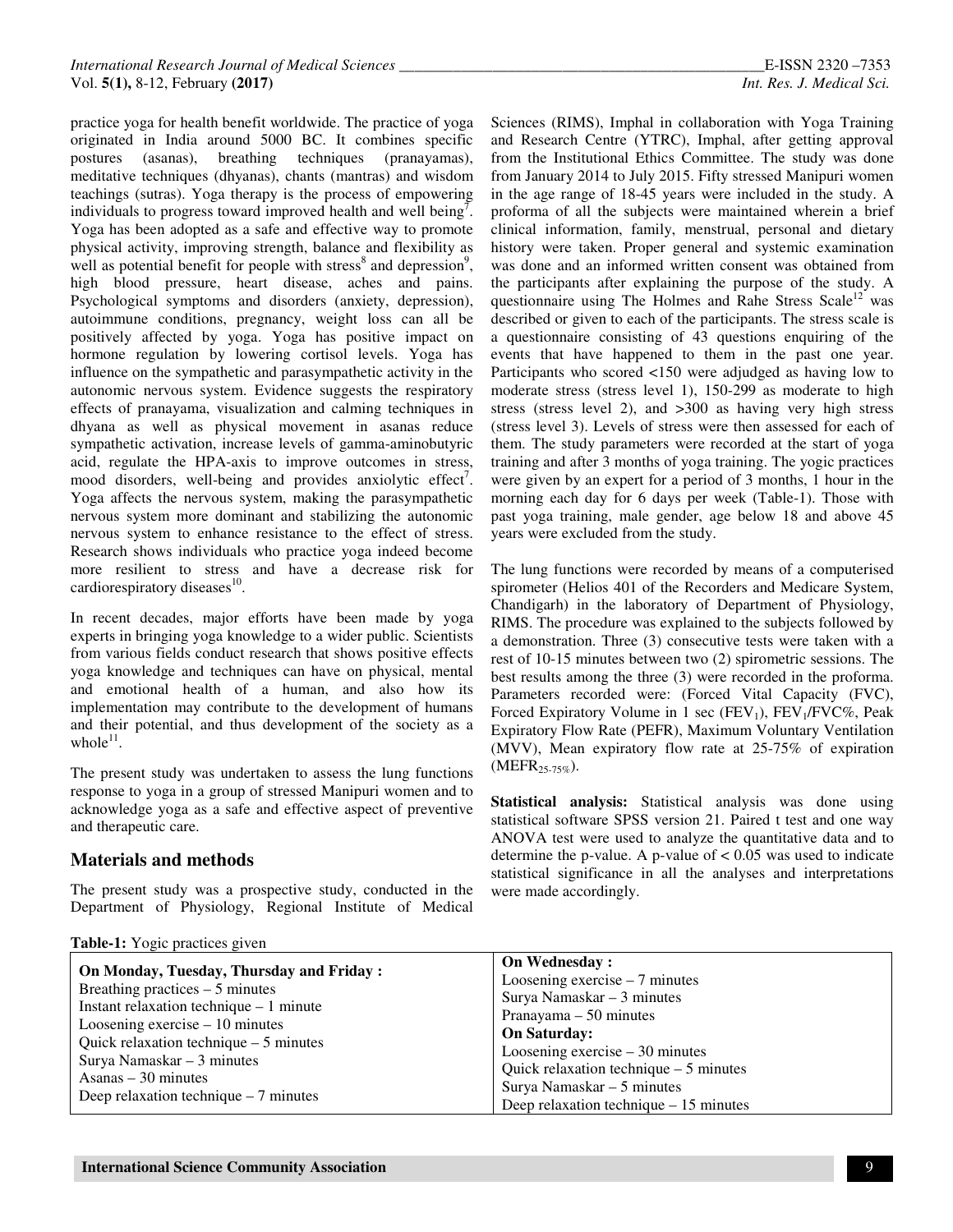practice yoga for health benefit worldwide. The practice of yoga originated in India around 5000 BC. It combines specific postures (asanas), breathing techniques (pranayamas), meditative techniques (dhyanas), chants (mantras) and wisdom teachings (sutras). Yoga therapy is the process of empowering individuals to progress toward improved health and well being<sup>7</sup>. Yoga has been adopted as a safe and effective way to promote physical activity, improving strength, balance and flexibility as well as potential benefit for people with stress<sup>8</sup> and depression<sup>9</sup>, high blood pressure, heart disease, aches and pains. Psychological symptoms and disorders (anxiety, depression), autoimmune conditions, pregnancy, weight loss can all be positively affected by yoga. Yoga has positive impact on hormone regulation by lowering cortisol levels. Yoga has influence on the sympathetic and parasympathetic activity in the autonomic nervous system. Evidence suggests the respiratory effects of pranayama, visualization and calming techniques in dhyana as well as physical movement in asanas reduce sympathetic activation, increase levels of gamma-aminobutyric acid, regulate the HPA-axis to improve outcomes in stress, mood disorders, well-being and provides anxiolytic effect<sup>7</sup>. Yoga affects the nervous system, making the parasympathetic nervous system more dominant and stabilizing the autonomic nervous system to enhance resistance to the effect of stress. Research shows individuals who practice yoga indeed become more resilient to stress and have a decrease risk for cardiorespiratory diseases<sup>10</sup>.

In recent decades, major efforts have been made by yoga experts in bringing yoga knowledge to a wider public. Scientists from various fields conduct research that shows positive effects yoga knowledge and techniques can have on physical, mental and emotional health of a human, and also how its implementation may contribute to the development of humans and their potential, and thus development of the society as a whole $^{11}$ .

The present study was undertaken to assess the lung functions response to yoga in a group of stressed Manipuri women and to acknowledge yoga as a safe and effective aspect of preventive and therapeutic care.

## **Materials and methods**

The present study was a prospective study, conducted in the Department of Physiology, Regional Institute of Medical

Sciences (RIMS), Imphal in collaboration with Yoga Training and Research Centre (YTRC), Imphal, after getting approval from the Institutional Ethics Committee. The study was done from January 2014 to July 2015. Fifty stressed Manipuri women in the age range of 18-45 years were included in the study. A proforma of all the subjects were maintained wherein a brief clinical information, family, menstrual, personal and dietary history were taken. Proper general and systemic examination was done and an informed written consent was obtained from the participants after explaining the purpose of the study. A questionnaire using The Holmes and Rahe Stress Scale<sup>12</sup> was described or given to each of the participants. The stress scale is a questionnaire consisting of 43 questions enquiring of the events that have happened to them in the past one year. Participants who scored <150 were adjudged as having low to moderate stress (stress level 1), 150-299 as moderate to high stress (stress level 2), and >300 as having very high stress (stress level 3). Levels of stress were then assessed for each of them. The study parameters were recorded at the start of yoga training and after 3 months of yoga training. The yogic practices were given by an expert for a period of 3 months, 1 hour in the morning each day for 6 days per week (Table-1). Those with past yoga training, male gender, age below 18 and above 45 years were excluded from the study.

The lung functions were recorded by means of a computerised spirometer (Helios 401 of the Recorders and Medicare System, Chandigarh) in the laboratory of Department of Physiology, RIMS. The procedure was explained to the subjects followed by a demonstration. Three (3) consecutive tests were taken with a rest of 10-15 minutes between two (2) spirometric sessions. The best results among the three (3) were recorded in the proforma. Parameters recorded were: (Forced Vital Capacity (FVC), Forced Expiratory Volume in 1 sec  $(FEV_1)$ ,  $FEV_1/FVC\%$ , Peak Expiratory Flow Rate (PEFR), Maximum Voluntary Ventilation (MVV), Mean expiratory flow rate at 25-75% of expiration  $(MEFR_{25-75\%}).$ 

**Statistical analysis:** Statistical analysis was done using statistical software SPSS version 21. Paired t test and one way ANOVA test were used to analyze the quantitative data and to determine the p-value. A p-value of  $< 0.05$  was used to indicate statistical significance in all the analyses and interpretations were made accordingly.

|                                                                                                                                                          | <b>On Wednesday:</b>                                                                                                              |  |  |                                         |
|----------------------------------------------------------------------------------------------------------------------------------------------------------|-----------------------------------------------------------------------------------------------------------------------------------|--|--|-----------------------------------------|
| On Monday, Tuesday, Thursday and Friday:                                                                                                                 | Loosening exercise $-7$ minutes                                                                                                   |  |  |                                         |
| Breathing practices $-5$ minutes<br>Instant relaxation technique $-1$ minute                                                                             | Surya Namaskar $-3$ minutes                                                                                                       |  |  |                                         |
|                                                                                                                                                          | Pranayama $-50$ minutes                                                                                                           |  |  |                                         |
| Loosening exercise $-10$ minutes                                                                                                                         | <b>On Saturday:</b><br>Loosening exercise $-30$ minutes<br>Quick relaxation technique $-5$ minutes<br>Surya Namaskar $-5$ minutes |  |  |                                         |
| Quick relaxation technique $-5$ minutes<br>Surya Namaskar $-3$ minutes<br>$\text{Asanas} - 30 \text{ minutes}$<br>Deep relaxation technique $-7$ minutes |                                                                                                                                   |  |  |                                         |
|                                                                                                                                                          |                                                                                                                                   |  |  | Deep relaxation technique $-15$ minutes |

#### **Table-1:** Yogic practices given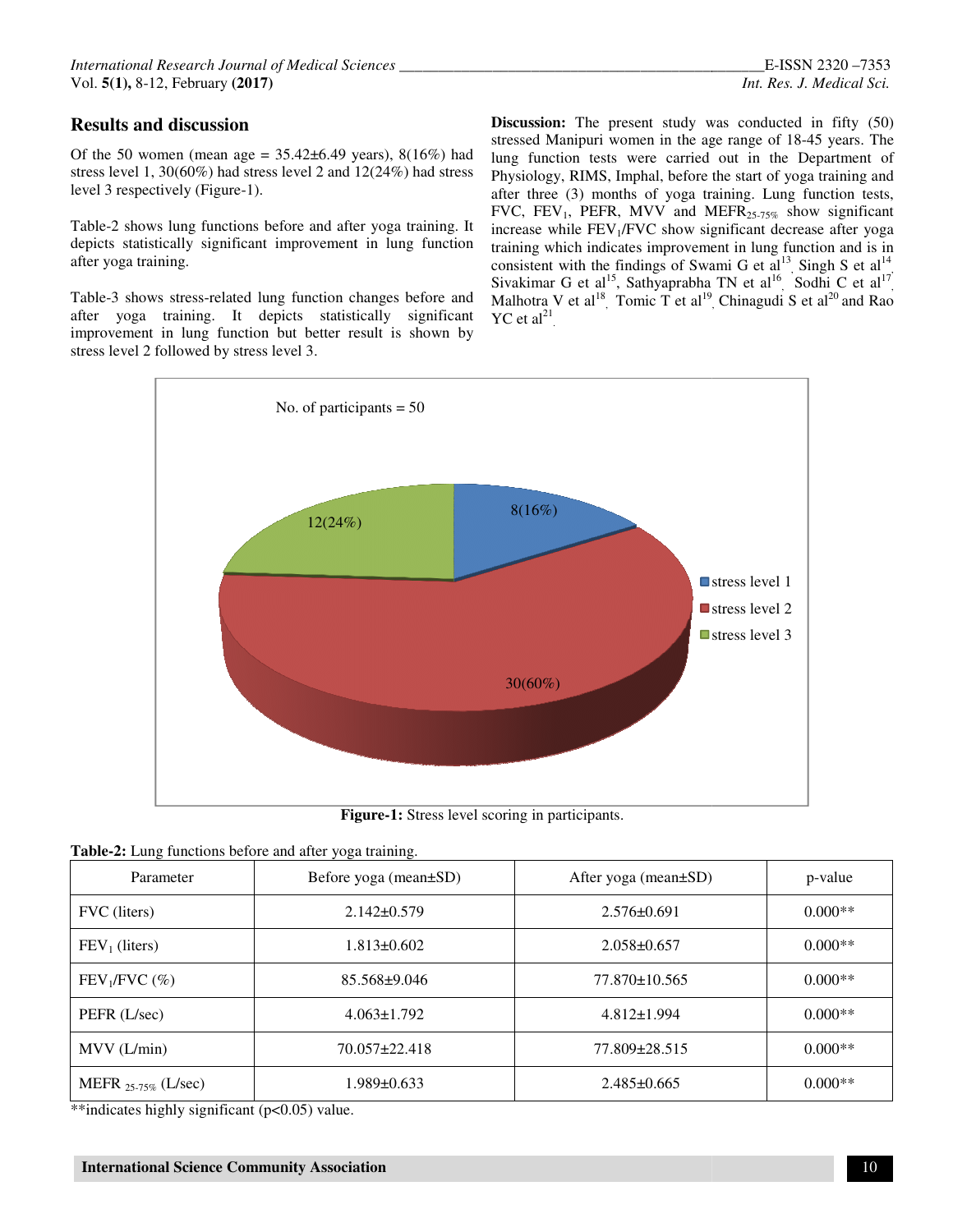## **Results and discussion**

Of the 50 women (mean age =  $35.42\pm6.49$  years),  $8(16\%)$  had stress level 1, 30(60%) had stress level 2 and 12(24%) had stress level 3 respectively (Figure-1).

Table-2 shows lung functions before and after yoga training. It depicts statistically significant improvement in lung function after yoga training.

Table-3 shows stress-related lung function changes before and after yoga training. It depicts statistically significant improvement in lung function but better result is shown by stress level 2 followed by stress level 3.

**sults and discussion**<br>
the 50 women (mean age = 35.42±6.49 years), 8(16%) had stress dManipuri women in the age range of 18-45 years. The<br>
stevel 1, 30(60%) had stress level 2 and 12(24%) had stress beginner women in the **Discussion:** The present study was conducted in fifty (50) stressed Manipuri women in the age range of 18-45 years. The lung function tests were carried out in the Department of Physiology, RIMS, Imphal, before the start of yoga training and after three (3) months of yoga training. Lung function tests, FVC, FEV<sub>1</sub>, PEFR, MVV and MEFR<sub>25-75%</sub> show significant increase while  $FEV<sub>1</sub>/FVC$  show significant decrease after yoga training which indicates improvement in lung function and is in consistent with the findings of Swami G et al Sivakimar G et al<sup>15</sup>, Sathyaprabha TN et al Malhotra V et al<sup>18</sup>, Tomic T et al<sup>19</sup>  $YC$  et al<sup>21</sup>. E-ISSN 2320 –7353<br>
Int. Res. J. Medical Sci.<br>
Discussion: The present study was conducted in fifty (50)<br>
stressed Manipuri women in the age range of 18-45 years. The<br>
2 and 12(24%) had stress Physiology, RIMS, Imphal, bef lung function tests were carried out in the Department of Physiology, RIMS, Imphal, before the start of yoga training and after three (3) months of yoga training. Lung function tests, FVC, FEV<sub>1</sub>, PEFR, MVV and MEFR<sub>25-75</sub> ndicates improvement in lung function and is in<br>the findings of Swami G et al<sup>13</sup>, Singh S et al<sup>14</sup><br>al<sup>15</sup>, Sathyaprabha TN et al<sup>16</sup>, Sodhi C et al<sup>17</sup>, Chinagudi S et al $^{20}$  and Rao



**Figure Figure-1:** Stress level scoring in participants.

|  |  | Table-2: Lung functions before and after yoga training. |  |  |  |  |  |  |
|--|--|---------------------------------------------------------|--|--|--|--|--|--|
|--|--|---------------------------------------------------------|--|--|--|--|--|--|

| Parameter                 | Before yoga (mean±SD) | After yoga (mean±SD) | p-value   |
|---------------------------|-----------------------|----------------------|-----------|
| FVC (liters)              | $2.142\pm 0.579$      | $2.576\pm0.691$      | $0.000**$ |
| $FEV1$ (liters)           | 1.813±0.602           | $2.058 \pm 0.657$    | $0.000**$ |
| $FEV1/FVC$ (%)            | $85.568 \pm 9.046$    | 77.870±10.565        | $0.000**$ |
| PEFR (L/sec)              | $4.063 \pm 1.792$     | $4.812 \pm 1.994$    | $0.000**$ |
| MVV (L/min)               | $70.057 \pm 22.418$   | 77.809±28.515        | $0.000**$ |
| MEFR $_{25-75\%}$ (L/sec) | 1.989±0.633           | $2.485 \pm 0.665$    | $0.000**$ |

\*\*indicates highly significant (p<0.05) value.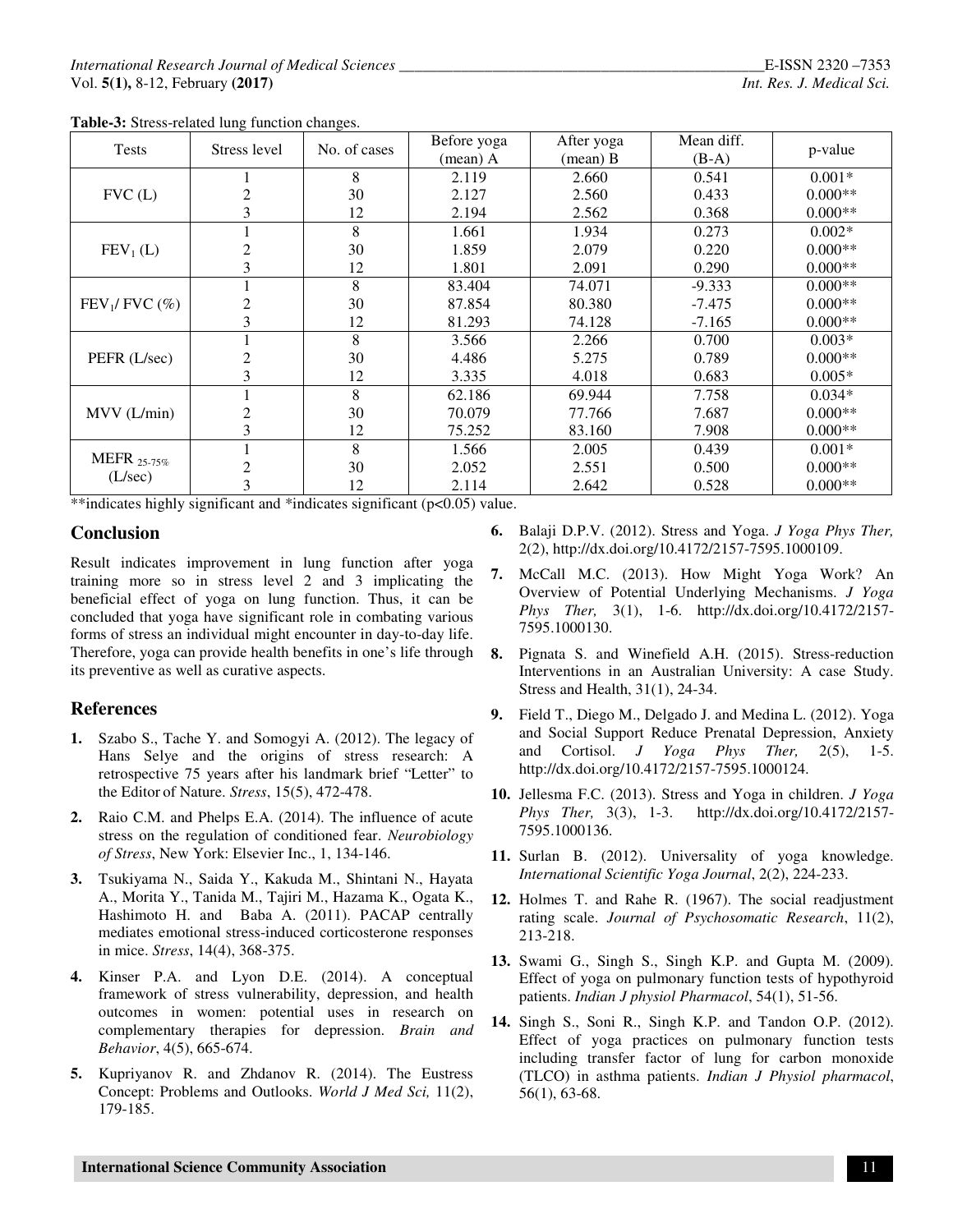| <b>Tests</b>           | Stress level                            | No. of cases | Before yoga | After yoga | Mean diff. | p-value   |
|------------------------|-----------------------------------------|--------------|-------------|------------|------------|-----------|
|                        |                                         |              | (mean) A    | (mean) B   | $(B-A)$    |           |
| FVC(L)                 |                                         | 8            | 2.119       | 2.660      | 0.541      | $0.001*$  |
|                        | 2                                       | 30           | 2.127       | 2.560      | 0.433      | $0.000**$ |
|                        | 3                                       | 12           | 2.194       | 2.562      | 0.368      | $0.000**$ |
| $FEV1$ (L)             |                                         | 8            | 1.661       | 1.934      | 0.273      | $0.002*$  |
|                        | 2                                       | 30           | 1.859       | 2.079      | 0.220      | $0.000**$ |
|                        | 3                                       | 12           | 1.801       | 2.091      | 0.290      | $0.000**$ |
| $FEV1/FVC$ (%)         |                                         | 8            | 83.404      | 74.071     | $-9.333$   | $0.000**$ |
|                        | 2                                       | 30           | 87.854      | 80.380     | $-7.475$   | $0.000**$ |
|                        | 3                                       | 12           | 81.293      | 74.128     | $-7.165$   | $0.000**$ |
| PEFR (L/sec)           |                                         | 8            | 3.566       | 2.266      | 0.700      | $0.003*$  |
|                        | 2                                       | 30           | 4.486       | 5.275      | 0.789      | $0.000**$ |
|                        | 3                                       | 12           | 3.335       | 4.018      | 0.683      | $0.005*$  |
| MV (L/min)             |                                         | 8            | 62.186      | 69.944     | 7.758      | $0.034*$  |
|                        | 2                                       | 30           | 70.079      | 77.766     | 7.687      | $0.000**$ |
|                        | 3                                       | 12           | 75.252      | 83.160     | 7.908      | $0.000**$ |
| MEFR 25-75%<br>(L/sec) |                                         | 8            | 1.566       | 2.005      | 0.439      | $0.001*$  |
|                        | 2                                       | 30           | 2.052       | 2.551      | 0.500      | $0.000**$ |
|                        | 3<br>$\cdot$ $\sim$<br>$-1.1.1$ $-1.1.$ | 12           | 2.114       | 2.642      | 0.528      | $0.000**$ |

**Table-3:** Stress-related lung function changes.

\*\*indicates highly significant and \*indicates significant (p<0.05) value.

### **Conclusion**

Result indicates improvement in lung function after yoga training more so in stress level 2 and 3 implicating the beneficial effect of yoga on lung function. Thus, it can be concluded that yoga have significant role in combating various forms of stress an individual might encounter in day-to-day life. Therefore, yoga can provide health benefits in one's life through its preventive as well as curative aspects.

## **References**

- **1.** Szabo S., Tache Y. and Somogyi A. (2012). The legacy of Hans Selye and the origins of stress research: A retrospective 75 years after his landmark brief "Letter" to the Editor of Nature. *Stress*, 15(5), 472-478.
- **2.** Raio C.M. and Phelps E.A. (2014). The influence of acute stress on the regulation of conditioned fear. *Neurobiology of Stress*, New York: Elsevier Inc., 1, 134-146.
- **3.** Tsukiyama N., Saida Y., Kakuda M., Shintani N., Hayata A., Morita Y., Tanida M., Tajiri M., Hazama K., Ogata K., Hashimoto H. and Baba A. (2011). PACAP centrally mediates emotional stress-induced corticosterone responses in mice. *Stress*, 14(4), 368-375.
- **4.** Kinser P.A. and Lyon D.E. (2014). A conceptual framework of stress vulnerability, depression, and health outcomes in women: potential uses in research on complementary therapies for depression. *Brain and Behavior*, 4(5), 665-674.
- **5.** Kupriyanov R. and Zhdanov R. (2014). The Eustress Concept: Problems and Outlooks. *World J Med Sci,* 11(2), 179-185.
- **6.** Balaji D.P.V. (2012). Stress and Yoga. *J Yoga Phys Ther,* 2(2), http://dx.doi.org/10.4172/2157-7595.1000109.
- **7.** McCall M.C. (2013). How Might Yoga Work? An Overview of Potential Underlying Mechanisms. *J Yoga Phys Ther,* 3(1), 1-6. http://dx.doi.org/10.4172/2157- 7595.1000130.
- **8.** Pignata S. and Winefield A.H. (2015). Stress-reduction Interventions in an Australian University: A case Study. Stress and Health, 31(1), 24-34.
- **9.** Field T., Diego M., Delgado J. and Medina L. (2012). Yoga and Social Support Reduce Prenatal Depression, Anxiety and Cortisol. *J Yoga Phys Ther,* 2(5), 1-5. http://dx.doi.org/10.4172/2157-7595.1000124.
- **10.** Jellesma F.C. (2013). Stress and Yoga in children. *J Yoga Phys Ther,* 3(3), 1-3. http://dx.doi.org/10.4172/2157- 7595.1000136.
- **11.** Surlan B. (2012). Universality of yoga knowledge. *International Scientific Yoga Journal*, 2(2), 224-233.
- **12.** Holmes T. and Rahe R. (1967). The social readjustment rating scale. *Journal of Psychosomatic Research*, 11(2), 213-218.
- **13.** Swami G., Singh S., Singh K.P. and Gupta M. (2009). Effect of yoga on pulmonary function tests of hypothyroid patients. *Indian J physiol Pharmacol*, 54(1), 51-56.
- **14.** Singh S., Soni R., Singh K.P. and Tandon O.P. (2012). Effect of yoga practices on pulmonary function tests including transfer factor of lung for carbon monoxide (TLCO) in asthma patients. *Indian J Physiol pharmacol*, 56(1), 63-68.